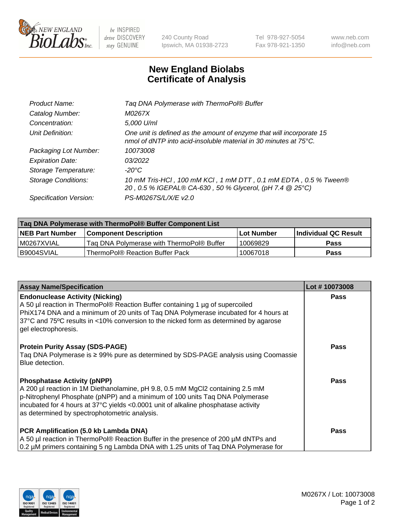

 $be$  INSPIRED drive DISCOVERY stay GENUINE

240 County Road Ipswich, MA 01938-2723 Tel 978-927-5054 Fax 978-921-1350 www.neb.com info@neb.com

## **New England Biolabs Certificate of Analysis**

| Tag DNA Polymerase with ThermoPol® Buffer                                                                                                |
|------------------------------------------------------------------------------------------------------------------------------------------|
| M0267X                                                                                                                                   |
| 5,000 U/ml                                                                                                                               |
| One unit is defined as the amount of enzyme that will incorporate 15<br>nmol of dNTP into acid-insoluble material in 30 minutes at 75°C. |
| 10073008                                                                                                                                 |
| 03/2022                                                                                                                                  |
| $-20^{\circ}$ C                                                                                                                          |
| 10 mM Tris-HCl, 100 mM KCl, 1 mM DTT, 0.1 mM EDTA, 0.5 % Tween®<br>20, 0.5 % IGEPAL® CA-630, 50 % Glycerol, (pH 7.4 @ 25°C)              |
| PS-M0267S/L/X/E v2.0                                                                                                                     |
|                                                                                                                                          |

| ∣Taq DNA Polymerase with ThermoPol® Buffer Component List |                                           |                   |                      |  |
|-----------------------------------------------------------|-------------------------------------------|-------------------|----------------------|--|
| <b>NEB Part Number</b>                                    | <b>Component Description</b>              | <b>Lot Number</b> | Individual QC Result |  |
| I M0267XVIAL                                              | Tag DNA Polymerase with ThermoPol® Buffer | 10069829          | Pass                 |  |
| B9004SVIAL                                                | ThermoPol® Reaction Buffer Pack           | 10067018          | Pass                 |  |

| <b>Assay Name/Specification</b>                                                                                                                                                                                                                                                                                                             | Lot #10073008 |
|---------------------------------------------------------------------------------------------------------------------------------------------------------------------------------------------------------------------------------------------------------------------------------------------------------------------------------------------|---------------|
| <b>Endonuclease Activity (Nicking)</b><br>A 50 µl reaction in ThermoPol® Reaction Buffer containing 1 µg of supercoiled<br>PhiX174 DNA and a minimum of 20 units of Taq DNA Polymerase incubated for 4 hours at<br>37°C and 75°C results in <10% conversion to the nicked form as determined by agarose<br>gel electrophoresis.             | <b>Pass</b>   |
| <b>Protein Purity Assay (SDS-PAGE)</b><br>Taq DNA Polymerase is ≥ 99% pure as determined by SDS-PAGE analysis using Coomassie<br>Blue detection.                                                                                                                                                                                            | <b>Pass</b>   |
| <b>Phosphatase Activity (pNPP)</b><br>A 200 µl reaction in 1M Diethanolamine, pH 9.8, 0.5 mM MgCl2 containing 2.5 mM<br>p-Nitrophenyl Phosphate (pNPP) and a minimum of 100 units Taq DNA Polymerase<br>incubated for 4 hours at 37°C yields <0.0001 unit of alkaline phosphatase activity<br>as determined by spectrophotometric analysis. | <b>Pass</b>   |
| PCR Amplification (5.0 kb Lambda DNA)<br>A 50 µl reaction in ThermoPol® Reaction Buffer in the presence of 200 µM dNTPs and<br>0.2 µM primers containing 5 ng Lambda DNA with 1.25 units of Taq DNA Polymerase for                                                                                                                          | <b>Pass</b>   |